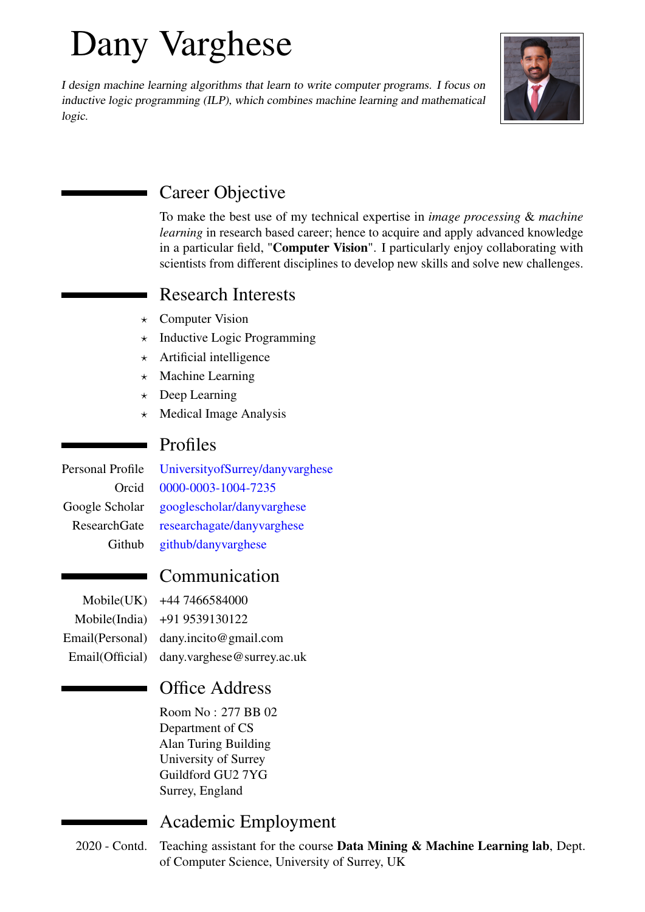# Dany Varghese

I design machine learning algorithms that learn to write computer programs. I focus on inductive logic programming (ILP), which combines machine learning and mathematical logic.



Career Objective

To make the best use of my technical expertise in *image processing* & *machine learning* in research based career; hence to acquire and apply advanced knowledge in a particular field, "Computer Vision". I particularly enjoy collaborating with scientists from different disciplines to develop new skills and solve new challenges.

## Research Interests

- $\star$  Computer Vision
- $\star$  Inductive Logic Programming
- $\star$  Artificial intelligence
- $\star$  Machine Learning
- $\star$  Deep Learning
- $\star$  Medical Image Analysis

## Profiles

Personal Profile [UniversityofSurrey/danyvarghese](https://www.surrey.ac.uk/people/dany-varghese) Orcid [0000-0003-1004-7235](https://orcid.org/0000-0003-1004-7235) Google Scholar [googlescholar/danyvarghese](https://scholar.google.com/citations?hl=en&user=Z1KvV_YAAAAJ) ResearchGate [researchagate/danyvarghese](https://www.researchgate.net/profile/Dany-Varghese-2) Github [github/danyvarghese](https://github.com/danyvarghese)

## Communication

Mobile(UK) +44 7466584000 Mobile(India) +91 9539130122 Email(Personal) dany.incito@gmail.com Email(Official) dany.varghese@surrey.ac.uk

## Office Address

Room No : 277 BB 02 Department of CS Alan Turing Building University of Surrey Guildford GU2 7YG Surrey, England

## Academic Employment

2020 - Contd. Teaching assistant for the course **Data Mining & Machine Learning lab**, Dept. of Computer Science, University of Surrey, UK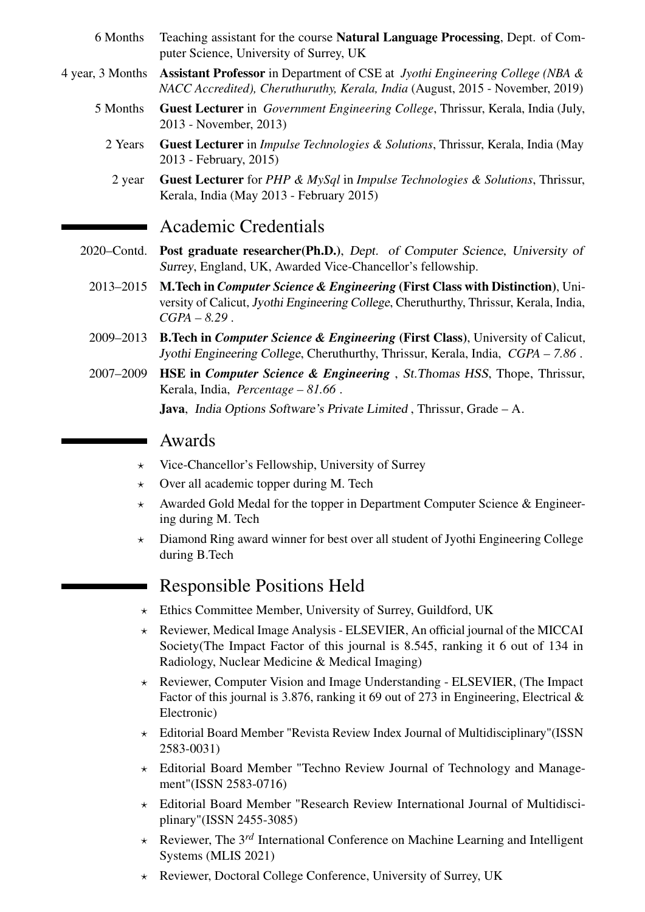- 6 Months Teaching assistant for the course Natural Language Processing, Dept. of Computer Science, University of Surrey, UK
- 4 year, 3 Months Assistant Professor in Department of CSE at *Jyothi Engineering College (NBA & NACC Accredited), Cheruthuruthy, Kerala, India* (August, 2015 - November, 2019)
	- 5 Months Guest Lecturer in *Government Engineering College*, Thrissur, Kerala, India (July, 2013 - November, 2013)
		- 2 Years Guest Lecturer in *Impulse Technologies & Solutions*, Thrissur, Kerala, India (May 2013 - February, 2015)
			- 2 year Guest Lecturer for *PHP & MySql* in *Impulse Technologies & Solutions*, Thrissur, Kerala, India (May 2013 - February 2015)

#### Academic Credentials

- 2020–Contd. Post graduate researcher(Ph.D.), Dept. of Computer Science, University of Surrey, England, UK, Awarded Vice-Chancellor's fellowship.
	- 2013–2015 M.Tech in *Computer Science & Engineering* (First Class with Distinction), University of Calicut, Jyothi Engineering College, Cheruthurthy, Thrissur, Kerala, India, *CGPA – 8.29* .
	- 2009–2013 B.Tech in *Computer Science & Engineering* (First Class), University of Calicut, Jyothi Engineering College, Cheruthurthy, Thrissur, Kerala, India, *CGPA – 7.86* .
	- 2007–2009 HSE in *Computer Science & Engineering* , St.Thomas HSS, Thope, Thrissur, Kerala, India, *Percentage – 81.66* .

Java, India Options Software's Private Limited , Thrissur, Grade – A.

#### Awards

- $\star$  Vice-Chancellor's Fellowship, University of Surrey
- $\star$  Over all academic topper during M. Tech
- $\star$  Awarded Gold Medal for the topper in Department Computer Science & Engineering during M. Tech
- $\star$  Diamond Ring award winner for best over all student of Jyothi Engineering College during B.Tech

## Responsible Positions Held

- $\star$  Ethics Committee Member, University of Surrey, Guildford, UK
- $\star$  Reviewer, Medical Image Analysis ELSEVIER, An official journal of the MICCAI Society(The Impact Factor of this journal is 8.545, ranking it 6 out of 134 in Radiology, Nuclear Medicine & Medical Imaging)
- $\star$  Reviewer, Computer Vision and Image Understanding ELSEVIER, (The Impact Factor of this journal is 3.876, ranking it 69 out of 273 in Engineering, Electrical  $\&$ Electronic)
- $\star$  Editorial Board Member "Revista Review Index Journal of Multidisciplinary"(ISSN 2583-0031)
- $\star$  Editorial Board Member "Techno Review Journal of Technology and Management"(ISSN 2583-0716)
- $\star$  Editorial Board Member "Research Review International Journal of Multidisciplinary"(ISSN 2455-3085)
- ? Reviewer, The 3 *rd* International Conference on Machine Learning and Intelligent Systems (MLIS 2021)
- \* Reviewer, Doctoral College Conference, University of Surrey, UK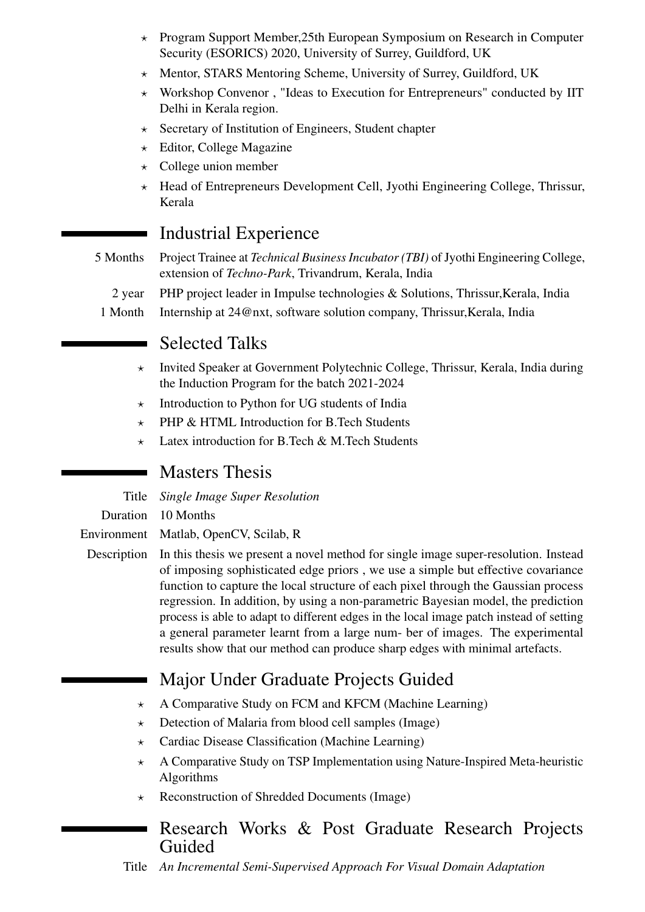- ? Program Support Member,25th European Symposium on Research in Computer Security (ESORICS) 2020, University of Surrey, Guildford, UK
- $\star$  Mentor, STARS Mentoring Scheme, University of Surrey, Guildford, UK
- \* Workshop Convenor, "Ideas to Execution for Entrepreneurs" conducted by IIT Delhi in Kerala region.
- $\star$  Secretary of Institution of Engineers, Student chapter
- $\star$  Editor, College Magazine
- $\star$  College union member
- ? Head of Entrepreneurs Development Cell, Jyothi Engineering College, Thrissur, Kerala

#### Industrial Experience

- 5 Months Project Trainee at *Technical Business Incubator (TBI)* of Jyothi Engineering College, extension of *Techno-Park*, Trivandrum, Kerala, India
	- 2 year PHP project leader in Impulse technologies & Solutions, Thrissur,Kerala, India
	- 1 Month Internship at 24@nxt, software solution company, Thrissur,Kerala, India

#### Selected Talks

- $\star$  Invited Speaker at Government Polytechnic College, Thrissur, Kerala, India during the Induction Program for the batch 2021-2024
- $\star$  Introduction to Python for UG students of India
- $\star$  PHP & HTML Introduction for B.Tech Students
- $\star$  Latex introduction for B.Tech & M.Tech Students

#### Masters Thesis

Title *Single Image Super Resolution*

Duration 10 Months

Environment Matlab, OpenCV, Scilab, R

Description In this thesis we present a novel method for single image super-resolution. Instead of imposing sophisticated edge priors , we use a simple but effective covariance function to capture the local structure of each pixel through the Gaussian process regression. In addition, by using a non-parametric Bayesian model, the prediction process is able to adapt to different edges in the local image patch instead of setting a general parameter learnt from a large num- ber of images. The experimental results show that our method can produce sharp edges with minimal artefacts.

## Major Under Graduate Projects Guided

- $\star$  A Comparative Study on FCM and KFCM (Machine Learning)
- $\star$  Detection of Malaria from blood cell samples (Image)
- $\star$  Cardiac Disease Classification (Machine Learning)
- $\star$  A Comparative Study on TSP Implementation using Nature-Inspired Meta-heuristic Algorithms
- $\star$  Reconstruction of Shredded Documents (Image)

#### Research Works & Post Graduate Research Projects Guided

Title *An Incremental Semi-Supervised Approach For Visual Domain Adaptation*